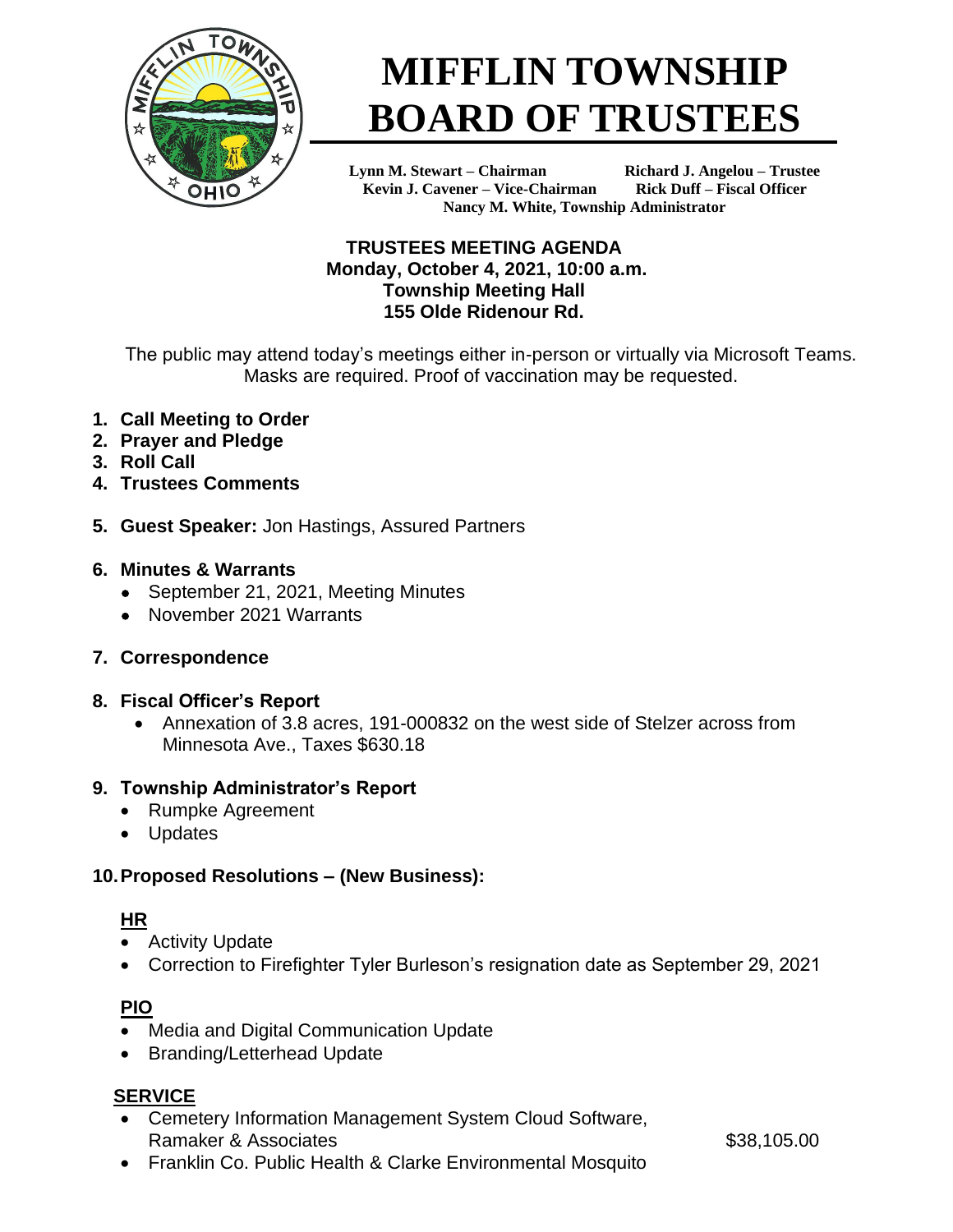

# **MIFFLIN TOWNSHIP BOARD OF TRUSTEES**

**Lynn M. Stewart – Chairman Richard J. Angelou – Trustee Kevin J. Cavener – Vice-Chairman Rick Duff – Fiscal Officer Nancy M. White, Township Administrator**

#### **TRUSTEES MEETING AGENDA Monday, October 4, 2021, 10:00 a.m. Township Meeting Hall 155 Olde Ridenour Rd.**

The public may attend today's meetings either in-person or virtually via Microsoft Teams. Masks are required. Proof of vaccination may be requested.

- **1. Call Meeting to Order**
- **2. Prayer and Pledge**
- **3. Roll Call**
- **4. Trustees Comments**
- **5. Guest Speaker:** Jon Hastings, Assured Partners

#### **6. Minutes & Warrants**

- September 21, 2021, Meeting Minutes
- November 2021 Warrants
- **7. Correspondence**

## **8. Fiscal Officer's Report**

• Annexation of 3.8 acres, 191-000832 on the west side of Stelzer across from Minnesota Ave., Taxes \$630.18

## **9. Township Administrator's Report**

- Rumpke Agreement
- Updates

## **10.Proposed Resolutions – (New Business):**

## **HR**

- Activity Update
- Correction to Firefighter Tyler Burleson's resignation date as September 29, 2021

# **PIO**

- Media and Digital Communication Update
- Branding/Letterhead Update

## **SERVICE**

• Cemetery Information Management System Cloud Software, Ramaker & Associates  $$38.105.00$ 

• Franklin Co. Public Health & Clarke Environmental Mosquito